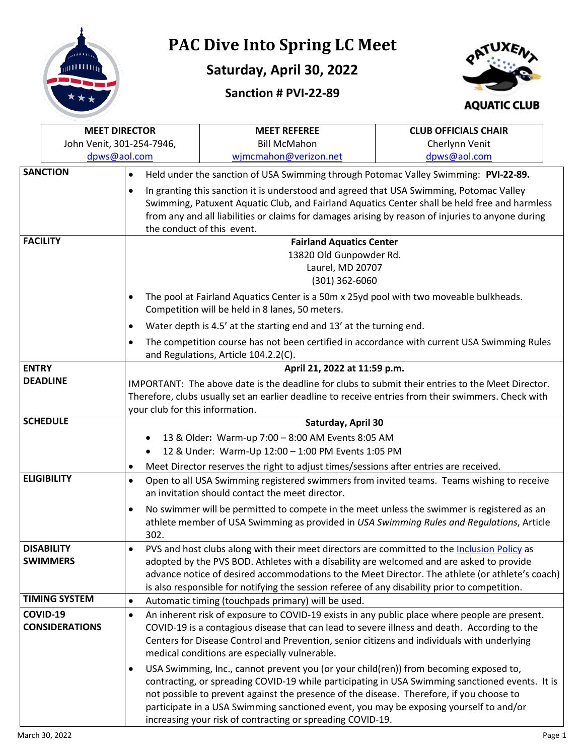

## **PAC Dive Into Spring LC Meet**

## **Saturday, April 30, 2022**

## **Sanction # PVI-22-89**



|                                                                                                                                                                                                                                                                                                                                                                                                                                     | <b>MEET DIRECTOR</b>              |                                                                                                         | <b>MEET REFEREE</b>                                                                                                                                                                                                                                                                                                                                                                                                                          | <b>CLUB OFFICIALS CHAIR</b> |  |
|-------------------------------------------------------------------------------------------------------------------------------------------------------------------------------------------------------------------------------------------------------------------------------------------------------------------------------------------------------------------------------------------------------------------------------------|-----------------------------------|---------------------------------------------------------------------------------------------------------|----------------------------------------------------------------------------------------------------------------------------------------------------------------------------------------------------------------------------------------------------------------------------------------------------------------------------------------------------------------------------------------------------------------------------------------------|-----------------------------|--|
|                                                                                                                                                                                                                                                                                                                                                                                                                                     | John Venit, 301-254-7946,         |                                                                                                         | <b>Bill McMahon</b>                                                                                                                                                                                                                                                                                                                                                                                                                          | Cherlynn Venit              |  |
|                                                                                                                                                                                                                                                                                                                                                                                                                                     | dpws@aol.com                      |                                                                                                         | wjmcmahon@verizon.net                                                                                                                                                                                                                                                                                                                                                                                                                        | dpws@aol.com                |  |
|                                                                                                                                                                                                                                                                                                                                                                                                                                     | <b>SANCTION</b>                   | $\bullet$                                                                                               | Held under the sanction of USA Swimming through Potomac Valley Swimming: PVI-22-89.                                                                                                                                                                                                                                                                                                                                                          |                             |  |
|                                                                                                                                                                                                                                                                                                                                                                                                                                     |                                   | $\bullet$                                                                                               | In granting this sanction it is understood and agreed that USA Swimming, Potomac Valley<br>Swimming, Patuxent Aquatic Club, and Fairland Aquatics Center shall be held free and harmless<br>from any and all liabilities or claims for damages arising by reason of injuries to anyone during<br>the conduct of this event.                                                                                                                  |                             |  |
| <b>FACILITY</b>                                                                                                                                                                                                                                                                                                                                                                                                                     |                                   |                                                                                                         | <b>Fairland Aquatics Center</b><br>13820 Old Gunpowder Rd.<br>Laurel, MD 20707<br>$(301)$ 362-6060                                                                                                                                                                                                                                                                                                                                           |                             |  |
| $\bullet$                                                                                                                                                                                                                                                                                                                                                                                                                           |                                   |                                                                                                         | The pool at Fairland Aquatics Center is a 50m x 25yd pool with two moveable bulkheads.<br>Competition will be held in 8 lanes, 50 meters.                                                                                                                                                                                                                                                                                                    |                             |  |
|                                                                                                                                                                                                                                                                                                                                                                                                                                     |                                   | $\bullet$                                                                                               | Water depth is 4.5' at the starting end and 13' at the turning end.                                                                                                                                                                                                                                                                                                                                                                          |                             |  |
| $\bullet$                                                                                                                                                                                                                                                                                                                                                                                                                           |                                   |                                                                                                         | The competition course has not been certified in accordance with current USA Swimming Rules<br>and Regulations, Article 104.2.2(C).                                                                                                                                                                                                                                                                                                          |                             |  |
| <b>ENTRY</b>                                                                                                                                                                                                                                                                                                                                                                                                                        |                                   |                                                                                                         | April 21, 2022 at 11:59 p.m.                                                                                                                                                                                                                                                                                                                                                                                                                 |                             |  |
| <b>DEADLINE</b><br>your club for this information.                                                                                                                                                                                                                                                                                                                                                                                  |                                   |                                                                                                         | IMPORTANT: The above date is the deadline for clubs to submit their entries to the Meet Director.<br>Therefore, clubs usually set an earlier deadline to receive entries from their swimmers. Check with                                                                                                                                                                                                                                     |                             |  |
| <b>SCHEDULE</b>                                                                                                                                                                                                                                                                                                                                                                                                                     |                                   |                                                                                                         | Saturday, April 30                                                                                                                                                                                                                                                                                                                                                                                                                           |                             |  |
|                                                                                                                                                                                                                                                                                                                                                                                                                                     |                                   | 13 & Older: Warm-up 7:00 - 8:00 AM Events 8:05 AM<br>12 & Under: Warm-Up 12:00 - 1:00 PM Events 1:05 PM |                                                                                                                                                                                                                                                                                                                                                                                                                                              |                             |  |
|                                                                                                                                                                                                                                                                                                                                                                                                                                     | $\bullet$                         |                                                                                                         | Meet Director reserves the right to adjust times/sessions after entries are received.                                                                                                                                                                                                                                                                                                                                                        |                             |  |
| <b>ELIGIBILITY</b><br>$\bullet$                                                                                                                                                                                                                                                                                                                                                                                                     |                                   |                                                                                                         | Open to all USA Swimming registered swimmers from invited teams. Teams wishing to receive<br>an invitation should contact the meet director.                                                                                                                                                                                                                                                                                                 |                             |  |
|                                                                                                                                                                                                                                                                                                                                                                                                                                     |                                   | $\bullet$<br>302.                                                                                       | No swimmer will be permitted to compete in the meet unless the swimmer is registered as an<br>athlete member of USA Swimming as provided in USA Swimming Rules and Regulations, Article                                                                                                                                                                                                                                                      |                             |  |
| <b>DISABILITY</b><br>PVS and host clubs along with their meet directors are committed to the Inclusion Policy as<br><b>SWIMMERS</b><br>adopted by the PVS BOD. Athletes with a disability are welcomed and are asked to provide<br>advance notice of desired accommodations to the Meet Director. The athlete (or athlete's coach)<br>is also responsible for notifying the session referee of any disability prior to competition. |                                   |                                                                                                         |                                                                                                                                                                                                                                                                                                                                                                                                                                              |                             |  |
|                                                                                                                                                                                                                                                                                                                                                                                                                                     | <b>TIMING SYSTEM</b>              | $\bullet$                                                                                               | Automatic timing (touchpads primary) will be used.                                                                                                                                                                                                                                                                                                                                                                                           |                             |  |
|                                                                                                                                                                                                                                                                                                                                                                                                                                     | COVID-19<br><b>CONSIDERATIONS</b> | $\bullet$                                                                                               | An inherent risk of exposure to COVID-19 exists in any public place where people are present.<br>COVID-19 is a contagious disease that can lead to severe illness and death. According to the<br>Centers for Disease Control and Prevention, senior citizens and individuals with underlying<br>medical conditions are especially vulnerable.                                                                                                |                             |  |
|                                                                                                                                                                                                                                                                                                                                                                                                                                     |                                   | $\bullet$                                                                                               | USA Swimming, Inc., cannot prevent you (or your child(ren)) from becoming exposed to,<br>contracting, or spreading COVID-19 while participating in USA Swimming sanctioned events. It is<br>not possible to prevent against the presence of the disease. Therefore, if you choose to<br>participate in a USA Swimming sanctioned event, you may be exposing yourself to and/or<br>increasing your risk of contracting or spreading COVID-19. |                             |  |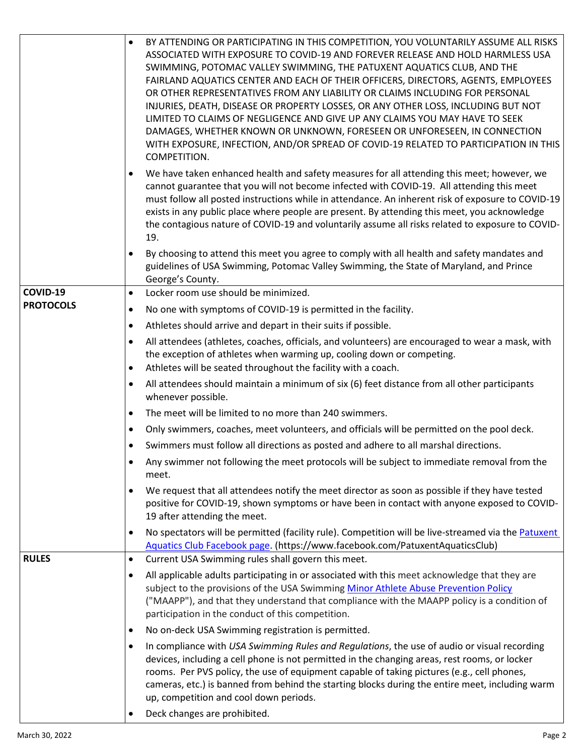|                  | BY ATTENDING OR PARTICIPATING IN THIS COMPETITION, YOU VOLUNTARILY ASSUME ALL RISKS<br>$\bullet$<br>ASSOCIATED WITH EXPOSURE TO COVID-19 AND FOREVER RELEASE AND HOLD HARMLESS USA<br>SWIMMING, POTOMAC VALLEY SWIMMING, THE PATUXENT AQUATICS CLUB, AND THE<br>FAIRLAND AQUATICS CENTER AND EACH OF THEIR OFFICERS, DIRECTORS, AGENTS, EMPLOYEES<br>OR OTHER REPRESENTATIVES FROM ANY LIABILITY OR CLAIMS INCLUDING FOR PERSONAL<br>INJURIES, DEATH, DISEASE OR PROPERTY LOSSES, OR ANY OTHER LOSS, INCLUDING BUT NOT<br>LIMITED TO CLAIMS OF NEGLIGENCE AND GIVE UP ANY CLAIMS YOU MAY HAVE TO SEEK<br>DAMAGES, WHETHER KNOWN OR UNKNOWN, FORESEEN OR UNFORESEEN, IN CONNECTION<br>WITH EXPOSURE, INFECTION, AND/OR SPREAD OF COVID-19 RELATED TO PARTICIPATION IN THIS<br>COMPETITION. |
|------------------|-------------------------------------------------------------------------------------------------------------------------------------------------------------------------------------------------------------------------------------------------------------------------------------------------------------------------------------------------------------------------------------------------------------------------------------------------------------------------------------------------------------------------------------------------------------------------------------------------------------------------------------------------------------------------------------------------------------------------------------------------------------------------------------------|
|                  | We have taken enhanced health and safety measures for all attending this meet; however, we<br>$\bullet$<br>cannot guarantee that you will not become infected with COVID-19. All attending this meet<br>must follow all posted instructions while in attendance. An inherent risk of exposure to COVID-19<br>exists in any public place where people are present. By attending this meet, you acknowledge<br>the contagious nature of COVID-19 and voluntarily assume all risks related to exposure to COVID-<br>19.                                                                                                                                                                                                                                                                      |
|                  | By choosing to attend this meet you agree to comply with all health and safety mandates and<br>$\bullet$<br>guidelines of USA Swimming, Potomac Valley Swimming, the State of Maryland, and Prince<br>George's County.                                                                                                                                                                                                                                                                                                                                                                                                                                                                                                                                                                    |
| COVID-19         | Locker room use should be minimized.<br>$\bullet$                                                                                                                                                                                                                                                                                                                                                                                                                                                                                                                                                                                                                                                                                                                                         |
| <b>PROTOCOLS</b> | No one with symptoms of COVID-19 is permitted in the facility.<br>$\bullet$                                                                                                                                                                                                                                                                                                                                                                                                                                                                                                                                                                                                                                                                                                               |
|                  | Athletes should arrive and depart in their suits if possible.<br>$\bullet$                                                                                                                                                                                                                                                                                                                                                                                                                                                                                                                                                                                                                                                                                                                |
|                  | All attendees (athletes, coaches, officials, and volunteers) are encouraged to wear a mask, with<br>$\bullet$<br>the exception of athletes when warming up, cooling down or competing.<br>Athletes will be seated throughout the facility with a coach.<br>$\bullet$                                                                                                                                                                                                                                                                                                                                                                                                                                                                                                                      |
|                  | All attendees should maintain a minimum of six (6) feet distance from all other participants<br>$\bullet$<br>whenever possible.                                                                                                                                                                                                                                                                                                                                                                                                                                                                                                                                                                                                                                                           |
|                  | The meet will be limited to no more than 240 swimmers.<br>$\bullet$                                                                                                                                                                                                                                                                                                                                                                                                                                                                                                                                                                                                                                                                                                                       |
|                  | Only swimmers, coaches, meet volunteers, and officials will be permitted on the pool deck.<br>$\bullet$                                                                                                                                                                                                                                                                                                                                                                                                                                                                                                                                                                                                                                                                                   |
|                  | Swimmers must follow all directions as posted and adhere to all marshal directions.                                                                                                                                                                                                                                                                                                                                                                                                                                                                                                                                                                                                                                                                                                       |
|                  | Any swimmer not following the meet protocols will be subject to immediate removal from the<br>meet.                                                                                                                                                                                                                                                                                                                                                                                                                                                                                                                                                                                                                                                                                       |
|                  | We request that all attendees notify the meet director as soon as possible if they have tested<br>$\bullet$<br>positive for COVID-19, shown symptoms or have been in contact with anyone exposed to COVID-<br>19 after attending the meet.                                                                                                                                                                                                                                                                                                                                                                                                                                                                                                                                                |
|                  | No spectators will be permitted (facility rule). Competition will be live-streamed via the Patuxent<br>$\bullet$<br>Aquatics Club Facebook page. (https://www.facebook.com/PatuxentAquaticsClub)                                                                                                                                                                                                                                                                                                                                                                                                                                                                                                                                                                                          |
| <b>RULES</b>     | Current USA Swimming rules shall govern this meet.<br>$\bullet$                                                                                                                                                                                                                                                                                                                                                                                                                                                                                                                                                                                                                                                                                                                           |
|                  | All applicable adults participating in or associated with this meet acknowledge that they are<br>$\bullet$<br>subject to the provisions of the USA Swimming Minor Athlete Abuse Prevention Policy<br>("MAAPP"), and that they understand that compliance with the MAAPP policy is a condition of<br>participation in the conduct of this competition.                                                                                                                                                                                                                                                                                                                                                                                                                                     |
|                  | No on-deck USA Swimming registration is permitted.<br>$\bullet$                                                                                                                                                                                                                                                                                                                                                                                                                                                                                                                                                                                                                                                                                                                           |
|                  | In compliance with USA Swimming Rules and Regulations, the use of audio or visual recording<br>$\bullet$<br>devices, including a cell phone is not permitted in the changing areas, rest rooms, or locker<br>rooms. Per PVS policy, the use of equipment capable of taking pictures (e.g., cell phones,<br>cameras, etc.) is banned from behind the starting blocks during the entire meet, including warm<br>up, competition and cool down periods.                                                                                                                                                                                                                                                                                                                                      |
|                  | Deck changes are prohibited.                                                                                                                                                                                                                                                                                                                                                                                                                                                                                                                                                                                                                                                                                                                                                              |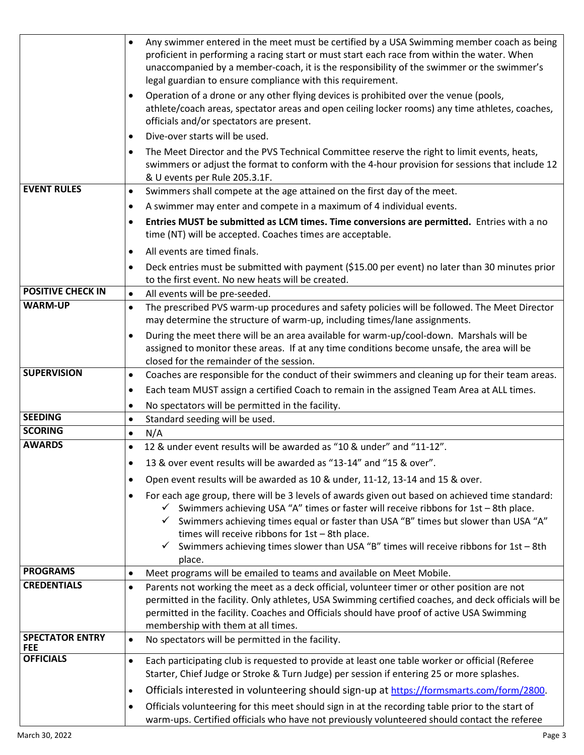|                                      | Any swimmer entered in the meet must be certified by a USA Swimming member coach as being<br>$\bullet$<br>proficient in performing a racing start or must start each race from within the water. When<br>unaccompanied by a member-coach, it is the responsibility of the swimmer or the swimmer's<br>legal guardian to ensure compliance with this requirement.                                                                                               |
|--------------------------------------|----------------------------------------------------------------------------------------------------------------------------------------------------------------------------------------------------------------------------------------------------------------------------------------------------------------------------------------------------------------------------------------------------------------------------------------------------------------|
|                                      | Operation of a drone or any other flying devices is prohibited over the venue (pools,<br>$\bullet$<br>athlete/coach areas, spectator areas and open ceiling locker rooms) any time athletes, coaches,<br>officials and/or spectators are present.                                                                                                                                                                                                              |
|                                      | Dive-over starts will be used.<br>$\bullet$                                                                                                                                                                                                                                                                                                                                                                                                                    |
|                                      | The Meet Director and the PVS Technical Committee reserve the right to limit events, heats,<br>$\bullet$<br>swimmers or adjust the format to conform with the 4-hour provision for sessions that include 12<br>& U events per Rule 205.3.1F.                                                                                                                                                                                                                   |
| <b>EVENT RULES</b>                   | Swimmers shall compete at the age attained on the first day of the meet.<br>$\bullet$                                                                                                                                                                                                                                                                                                                                                                          |
|                                      | A swimmer may enter and compete in a maximum of 4 individual events.<br>$\bullet$                                                                                                                                                                                                                                                                                                                                                                              |
|                                      | Entries MUST be submitted as LCM times. Time conversions are permitted. Entries with a no<br>$\bullet$<br>time (NT) will be accepted. Coaches times are acceptable.                                                                                                                                                                                                                                                                                            |
|                                      | All events are timed finals.<br>$\bullet$                                                                                                                                                                                                                                                                                                                                                                                                                      |
|                                      | Deck entries must be submitted with payment (\$15.00 per event) no later than 30 minutes prior<br>$\bullet$<br>to the first event. No new heats will be created.                                                                                                                                                                                                                                                                                               |
| <b>POSITIVE CHECK IN</b>             | $\bullet$<br>All events will be pre-seeded.                                                                                                                                                                                                                                                                                                                                                                                                                    |
| <b>WARM-UP</b>                       | The prescribed PVS warm-up procedures and safety policies will be followed. The Meet Director<br>$\bullet$<br>may determine the structure of warm-up, including times/lane assignments.                                                                                                                                                                                                                                                                        |
|                                      | During the meet there will be an area available for warm-up/cool-down. Marshals will be<br>$\bullet$<br>assigned to monitor these areas. If at any time conditions become unsafe, the area will be<br>closed for the remainder of the session.                                                                                                                                                                                                                 |
| <b>SUPERVISION</b>                   | Coaches are responsible for the conduct of their swimmers and cleaning up for their team areas.<br>$\bullet$                                                                                                                                                                                                                                                                                                                                                   |
|                                      | Each team MUST assign a certified Coach to remain in the assigned Team Area at ALL times.<br>$\bullet$                                                                                                                                                                                                                                                                                                                                                         |
|                                      | No spectators will be permitted in the facility.<br>$\bullet$                                                                                                                                                                                                                                                                                                                                                                                                  |
| <b>SEEDING</b>                       | Standard seeding will be used.<br>$\bullet$                                                                                                                                                                                                                                                                                                                                                                                                                    |
| <b>SCORING</b>                       | N/A<br>$\bullet$                                                                                                                                                                                                                                                                                                                                                                                                                                               |
| <b>AWARDS</b>                        | 12 & under event results will be awarded as "10 & under" and "11-12".<br>$\bullet$                                                                                                                                                                                                                                                                                                                                                                             |
|                                      | 13 & over event results will be awarded as "13-14" and "15 & over".<br>$\bullet$                                                                                                                                                                                                                                                                                                                                                                               |
|                                      | Open event results will be awarded as 10 & under, 11-12, 13-14 and 15 & over.<br>$\bullet$                                                                                                                                                                                                                                                                                                                                                                     |
|                                      | For each age group, there will be 3 levels of awards given out based on achieved time standard:<br>$\bullet$<br>$\checkmark$ Swimmers achieving USA "A" times or faster will receive ribbons for 1st - 8th place.<br>Swimmers achieving times equal or faster than USA "B" times but slower than USA "A"<br>times will receive ribbons for 1st - 8th place.<br>Swimmers achieving times slower than USA "B" times will receive ribbons for 1st - 8th<br>place. |
| <b>PROGRAMS</b>                      | Meet programs will be emailed to teams and available on Meet Mobile.<br>$\bullet$                                                                                                                                                                                                                                                                                                                                                                              |
| <b>CREDENTIALS</b>                   | Parents not working the meet as a deck official, volunteer timer or other position are not<br>$\bullet$<br>permitted in the facility. Only athletes, USA Swimming certified coaches, and deck officials will be<br>permitted in the facility. Coaches and Officials should have proof of active USA Swimming<br>membership with them at all times.                                                                                                             |
| <b>SPECTATOR ENTRY</b><br><b>FEE</b> | No spectators will be permitted in the facility.<br>$\bullet$                                                                                                                                                                                                                                                                                                                                                                                                  |
| <b>OFFICIALS</b>                     | Each participating club is requested to provide at least one table worker or official (Referee<br>$\bullet$<br>Starter, Chief Judge or Stroke & Turn Judge) per session if entering 25 or more splashes.                                                                                                                                                                                                                                                       |
|                                      | Officials interested in volunteering should sign-up at https://formsmarts.com/form/2800.<br>$\bullet$                                                                                                                                                                                                                                                                                                                                                          |
|                                      | Officials volunteering for this meet should sign in at the recording table prior to the start of<br>$\bullet$<br>warm-ups. Certified officials who have not previously volunteered should contact the referee                                                                                                                                                                                                                                                  |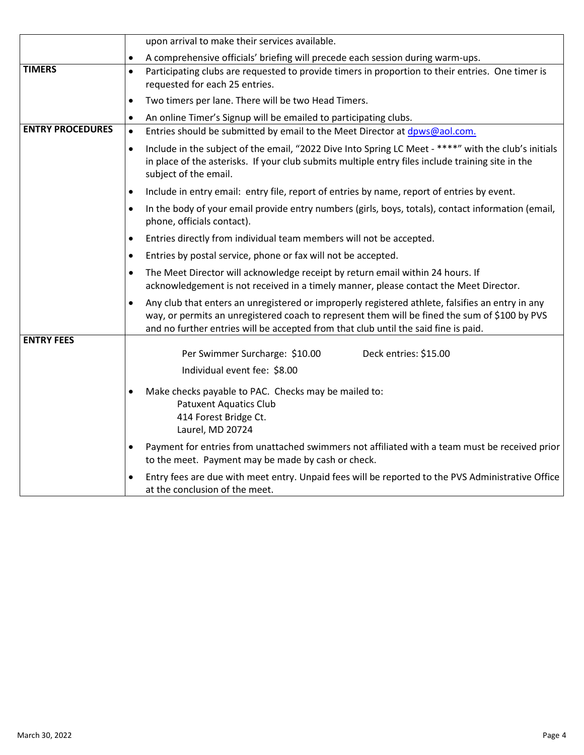|                         | upon arrival to make their services available.                                                                                                                                                                                                                                                        |  |
|-------------------------|-------------------------------------------------------------------------------------------------------------------------------------------------------------------------------------------------------------------------------------------------------------------------------------------------------|--|
|                         | A comprehensive officials' briefing will precede each session during warm-ups.<br>$\bullet$                                                                                                                                                                                                           |  |
| <b>TIMERS</b>           | Participating clubs are requested to provide timers in proportion to their entries. One timer is<br>$\bullet$<br>requested for each 25 entries.                                                                                                                                                       |  |
|                         | Two timers per lane. There will be two Head Timers.<br>$\bullet$                                                                                                                                                                                                                                      |  |
|                         | An online Timer's Signup will be emailed to participating clubs.<br>$\bullet$                                                                                                                                                                                                                         |  |
| <b>ENTRY PROCEDURES</b> | Entries should be submitted by email to the Meet Director at dpws@aol.com.<br>$\bullet$                                                                                                                                                                                                               |  |
|                         | Include in the subject of the email, "2022 Dive Into Spring LC Meet - ****" with the club's initials<br>$\bullet$<br>in place of the asterisks. If your club submits multiple entry files include training site in the<br>subject of the email.                                                       |  |
|                         | Include in entry email: entry file, report of entries by name, report of entries by event.                                                                                                                                                                                                            |  |
|                         | In the body of your email provide entry numbers (girls, boys, totals), contact information (email,<br>phone, officials contact).                                                                                                                                                                      |  |
|                         | Entries directly from individual team members will not be accepted.                                                                                                                                                                                                                                   |  |
|                         | Entries by postal service, phone or fax will not be accepted.                                                                                                                                                                                                                                         |  |
|                         | The Meet Director will acknowledge receipt by return email within 24 hours. If<br>acknowledgement is not received in a timely manner, please contact the Meet Director.                                                                                                                               |  |
|                         | Any club that enters an unregistered or improperly registered athlete, falsifies an entry in any<br>$\bullet$<br>way, or permits an unregistered coach to represent them will be fined the sum of \$100 by PVS<br>and no further entries will be accepted from that club until the said fine is paid. |  |
| <b>ENTRY FEES</b>       |                                                                                                                                                                                                                                                                                                       |  |
|                         | Per Swimmer Surcharge: \$10.00<br>Deck entries: \$15.00                                                                                                                                                                                                                                               |  |
|                         | Individual event fee: \$8.00                                                                                                                                                                                                                                                                          |  |
|                         | Make checks payable to PAC. Checks may be mailed to:<br><b>Patuxent Aquatics Club</b><br>414 Forest Bridge Ct.<br>Laurel, MD 20724                                                                                                                                                                    |  |
|                         | Payment for entries from unattached swimmers not affiliated with a team must be received prior<br>$\bullet$<br>to the meet. Payment may be made by cash or check.                                                                                                                                     |  |
|                         | Entry fees are due with meet entry. Unpaid fees will be reported to the PVS Administrative Office<br>at the conclusion of the meet.                                                                                                                                                                   |  |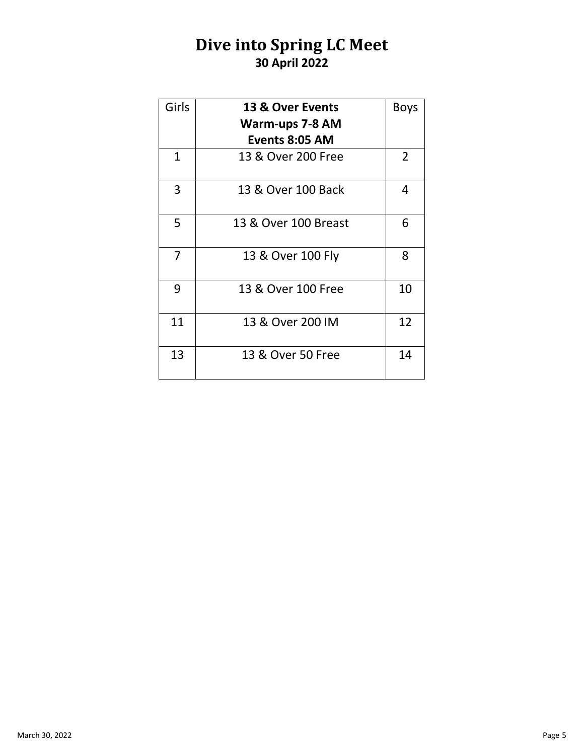## **Dive into Spring LC Meet 30 April 2022**

| Girls        | 13 & Over Events     | <b>Boys</b> |
|--------------|----------------------|-------------|
|              | Warm-ups 7-8 AM      |             |
|              | Events 8:05 AM       |             |
| $\mathbf{1}$ | 13 & Over 200 Free   | 2           |
| 3            | 13 & Over 100 Back   | 4           |
| 5            | 13 & Over 100 Breast | 6           |
| 7            | 13 & Over 100 Fly    | 8           |
| 9            | 13 & Over 100 Free   | 10          |
| 11           | 13 & Over 200 IM     | 12          |
| 13           | 13 & Over 50 Free    | 14          |